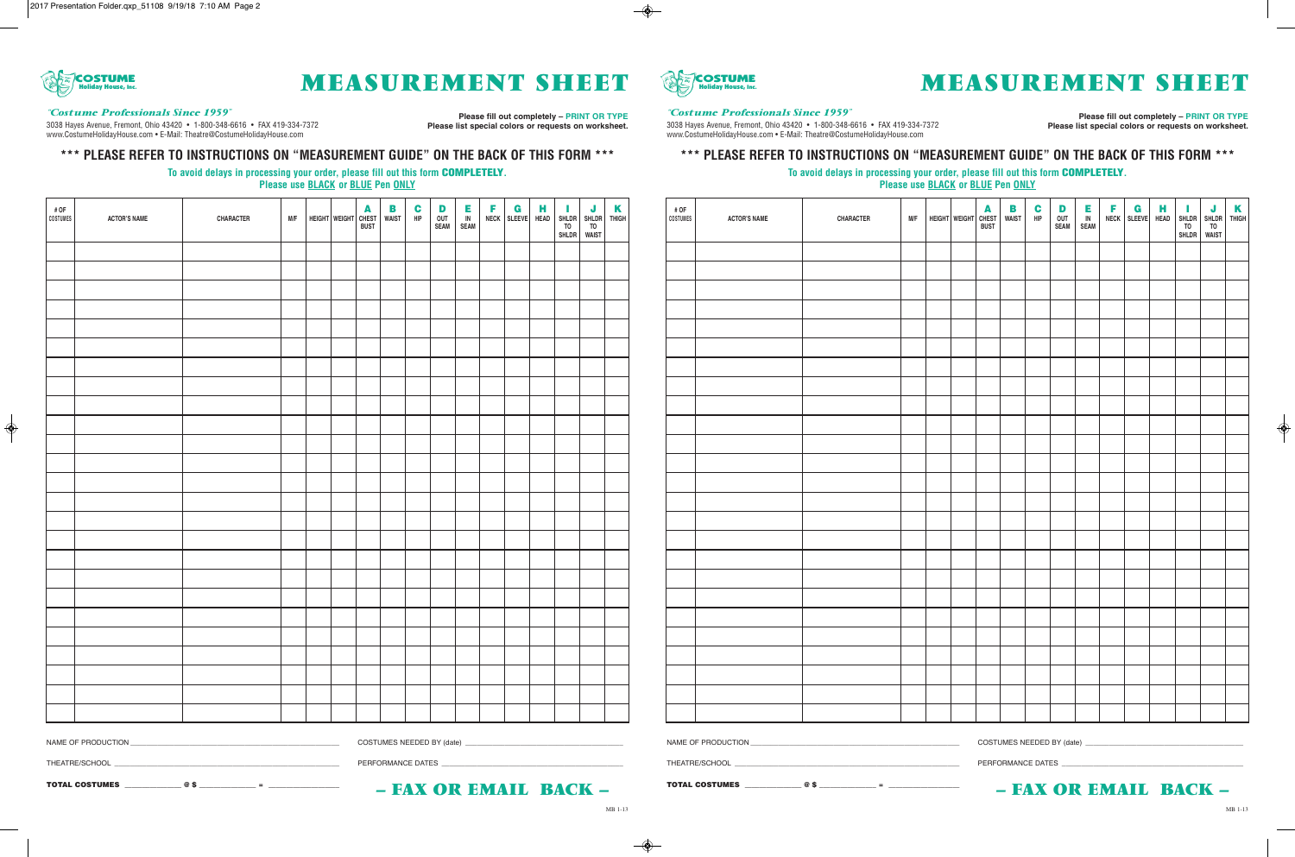

# **Holiday House, Inc. MEASUREMENT SHEET**

#### *"Costume Professionals Since 1959"*

3038 Hayes Avenue, Fremont, Ohio 43420 • 1-800-348-6616 • FAX 419-334-7372 www.CostumeHolidayHouse.com • E-Mail: Theatre@CostumeHolidayHouse.com

**Please fill out completely – PRINT OR TYPE Please list special colors or requests on worksheet.**

### **\*\*\* PLEASE REFER TO INSTRUCTIONS ON "MEASUREMENT GUIDE" ON THE BACK OF THIS FORM \*\*\***

#### **To avoid delays in processing your order, please fill out this form COMPLETELY. Please use BLACK or BLUE Pen ONLY**

| # OF<br>COSTUMES | <b>ACTOR'S NAME</b> | CHARACTER | M/F | HEIGHT WEIGHT CHEST | B<br><b>WAIST</b> | $\mathbf c$<br>HIP | D<br>OUT<br><b>SEAM</b> | E<br>$\overline{IN}$<br>SEAM | F<br>NECK | $\mathbf G$<br><b>SLEEVE</b> | н<br><b>HEAD</b> | T.<br><b>SHLDR</b><br>TO<br>SHLDR | SHLDR<br>TO<br>WAIST | $\frac{K}{THIGH}$ |
|------------------|---------------------|-----------|-----|---------------------|-------------------|--------------------|-------------------------|------------------------------|-----------|------------------------------|------------------|-----------------------------------|----------------------|-------------------|
|                  |                     |           |     |                     |                   |                    |                         |                              |           |                              |                  |                                   |                      |                   |
|                  |                     |           |     |                     |                   |                    |                         |                              |           |                              |                  |                                   |                      |                   |
|                  |                     |           |     |                     |                   |                    |                         |                              |           |                              |                  |                                   |                      |                   |
|                  |                     |           |     |                     |                   |                    |                         |                              |           |                              |                  |                                   |                      |                   |
|                  |                     |           |     |                     |                   |                    |                         |                              |           |                              |                  |                                   |                      |                   |
|                  |                     |           |     |                     |                   |                    |                         |                              |           |                              |                  |                                   |                      |                   |
|                  |                     |           |     |                     |                   |                    |                         |                              |           |                              |                  |                                   |                      |                   |
|                  |                     |           |     |                     |                   |                    |                         |                              |           |                              |                  |                                   |                      |                   |
|                  |                     |           |     |                     |                   |                    |                         |                              |           |                              |                  |                                   |                      |                   |
|                  |                     |           |     |                     |                   |                    |                         |                              |           |                              |                  |                                   |                      |                   |
|                  |                     |           |     |                     |                   |                    |                         |                              |           |                              |                  |                                   |                      |                   |
|                  |                     |           |     |                     |                   |                    |                         |                              |           |                              |                  |                                   |                      |                   |
|                  |                     |           |     |                     |                   |                    |                         |                              |           |                              |                  |                                   |                      |                   |
|                  |                     |           |     |                     |                   |                    |                         |                              |           |                              |                  |                                   |                      |                   |
|                  |                     |           |     |                     |                   |                    |                         |                              |           |                              |                  |                                   |                      |                   |
|                  |                     |           |     |                     |                   |                    |                         |                              |           |                              |                  |                                   |                      |                   |
|                  |                     |           |     |                     |                   |                    |                         |                              |           |                              |                  |                                   |                      |                   |
|                  |                     |           |     |                     |                   |                    |                         |                              |           |                              |                  |                                   |                      |                   |
|                  |                     |           |     |                     |                   |                    |                         |                              |           |                              |                  |                                   |                      |                   |
|                  |                     |           |     |                     |                   |                    |                         |                              |           |                              |                  |                                   |                      |                   |
|                  |                     |           |     |                     |                   |                    |                         |                              |           |                              |                  |                                   |                      |                   |
|                  |                     |           |     |                     |                   |                    |                         |                              |           |                              |                  |                                   |                      |                   |
|                  |                     |           |     |                     |                   |                    |                         |                              |           |                              |                  |                                   |                      |                   |
|                  |                     |           |     |                     |                   |                    |                         |                              |           |                              |                  |                                   |                      |                   |
|                  |                     |           |     |                     |                   |                    |                         |                              |           |                              |                  |                                   |                      |                   |

NAME OF PRODUCTION \_\_\_\_\_\_\_\_\_\_\_\_\_\_\_\_\_\_\_\_\_\_\_\_\_\_\_\_\_\_\_\_\_\_\_\_\_\_\_\_\_\_\_\_\_\_\_\_\_\_\_\_\_ COSTUMES NEEDED BY (date) \_\_\_\_\_\_\_\_\_\_\_\_\_\_\_\_\_\_\_\_\_\_\_\_\_\_\_\_\_\_\_\_\_\_\_\_\_\_\_\_

THEATRE/SCHOOL \_\_\_\_\_\_\_\_\_\_\_\_\_\_\_\_\_\_\_\_\_\_\_\_\_\_\_\_\_\_\_\_\_\_\_\_\_\_\_\_\_\_\_\_\_\_\_\_\_\_\_\_\_\_\_\_\_ PERFORMANCE DATES \_\_\_\_\_\_\_\_\_\_\_\_\_\_\_\_\_\_\_\_\_\_\_\_\_\_\_\_\_\_\_\_\_\_\_\_\_\_\_\_\_\_\_\_\_\_

**TOTAL COSTUMES \_\_\_\_\_\_\_\_\_\_\_\_\_\_\_\_ @ \$ \_\_\_\_\_\_\_\_\_\_\_\_\_\_\_\_ = \_\_\_\_\_\_\_\_\_\_\_\_\_\_\_\_\_\_\_\_**